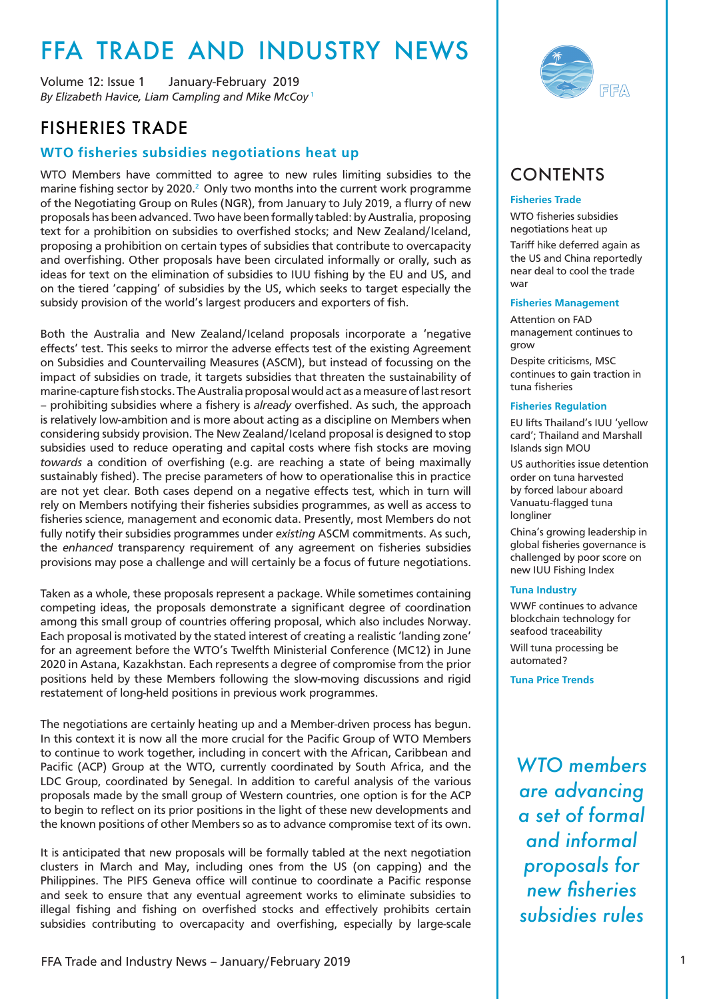# <span id="page-0-0"></span>FFA TRADE AND INDUSTRY NEWS

*By Elizabeth Havice, Liam Campling and Mike McCoy* [1](#page-12-0) Volume 12: Issue 1 January-February 2019

## FISHERIES TRADE

#### **WTO fisheries subsidies negotiations heat up**

WTO Members have committed to agree to new rules limiting subsidies to the marine fishing sector by [2](#page-12-0)020. $^2$  Only two months into the current work programme of the Negotiating Group on Rules (NGR), from January to July 2019, a flurry of new proposals has been advanced. Two have been formally tabled: by Australia, proposing text for a prohibition on subsidies to overfished stocks; and New Zealand/Iceland, proposing a prohibition on certain types of subsidies that contribute to overcapacity and overfishing. Other proposals have been circulated informally or orally, such as ideas for text on the elimination of subsidies to IUU fishing by the EU and US, and on the tiered 'capping' of subsidies by the US, which seeks to target especially the subsidy provision of the world's largest producers and exporters of fish.

Both the Australia and New Zealand/Iceland proposals incorporate a 'negative effects' test. This seeks to mirror the adverse effects test of the existing Agreement on Subsidies and Countervailing Measures (ASCM), but instead of focussing on the impact of subsidies on trade, it targets subsidies that threaten the sustainability of marine-capture fish stocks. The Australia proposal would act as a measure of last resort – prohibiting subsidies where a fishery is *already* overfished. As such, the approach is relatively low-ambition and is more about acting as a discipline on Members when considering subsidy provision. The New Zealand/Iceland proposal is designed to stop subsidies used to reduce operating and capital costs where fish stocks are moving *towards* a condition of overfishing (e.g. are reaching a state of being maximally sustainably fished). The precise parameters of how to operationalise this in practice are not yet clear. Both cases depend on a negative effects test, which in turn will rely on Members notifying their fisheries subsidies programmes, as well as access to fisheries science, management and economic data. Presently, most Members do not fully notify their subsidies programmes under *existing* ASCM commitments. As such, the *enhanced* transparency requirement of any agreement on fisheries subsidies provisions may pose a challenge and will certainly be a focus of future negotiations.

Taken as a whole, these proposals represent a package. While sometimes containing competing ideas, the proposals demonstrate a significant degree of coordination among this small group of countries offering proposal, which also includes Norway. Each proposal is motivated by the stated interest of creating a realistic 'landing zone' for an agreement before the WTO's Twelfth Ministerial Conference (MC12) in June 2020 in Astana, Kazakhstan. Each represents a degree of compromise from the prior positions held by these Members following the slow-moving discussions and rigid restatement of long-held positions in previous work programmes.

The negotiations are certainly heating up and a Member-driven process has begun. In this context it is now all the more crucial for the Pacific Group of WTO Members to continue to work together, including in concert with the African, Caribbean and Pacific (ACP) Group at the WTO, currently coordinated by South Africa, and the LDC Group, coordinated by Senegal. In addition to careful analysis of the various proposals made by the small group of Western countries, one option is for the ACP to begin to reflect on its prior positions in the light of these new developments and the known positions of other Members so as to advance compromise text of its own.

It is anticipated that new proposals will be formally tabled at the next negotiation clusters in March and May, including ones from the US (on capping) and the Philippines. The PIFS Geneva office will continue to coordinate a Pacific response and seek to ensure that any eventual agreement works to eliminate subsidies to illegal fishing and fishing on overfished stocks and effectively prohibits certain subsidies contributing to overcapacity and overfishing, especially by large-scale



# **CONTENTS**

#### **Fisheries Trade**

WTO fisheries subsidies negotiations heat up Tariff hike deferred again as the US and China reportedly near deal to cool the trade war

#### **Fisheries Management**

Attention on FAD management continues to grow

Despite criticisms, MSC continues to gain traction in tuna fisheries

#### **Fisheries Regulation**

EU lifts Thailand's IUU 'yellow card'; Thailand and Marshall Islands sign MOU

US authorities issue detention order on tuna harvested by forced labour aboard Vanuatu-flagged tuna longliner

China's growing leadership in global fisheries governance is challenged by poor score on new IUU Fishing Index

#### **Tuna Industry**

WWF continues to advance blockchain technology for seafood traceability Will tuna processing be automated?

**Tuna Price Trends**

*WTO members are advancing a set of formal and informal proposals for new fisheries subsidies rules*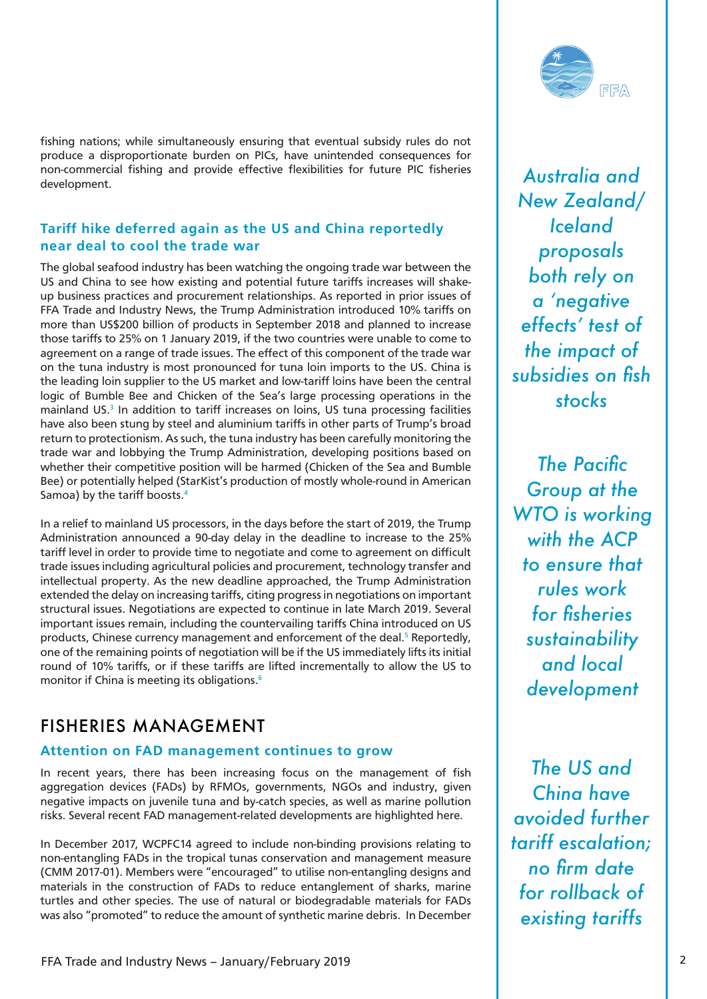<span id="page-1-0"></span>fishing nations; while simultaneously ensuring that eventual subsidy rules do not produce a disproportionate burden on PICs, have unintended consequences for non-commercial fishing and provide effective flexibilities for future PIC fisheries development.

#### **Tariff hike deferred again as the US and China reportedly near deal to cool the trade war**

The global seafood industry has been watching the ongoing trade war between the US and China to see how existing and potential future tariffs increases will shakeup business practices and procurement relationships. As reported in prior issues of FFA Trade and Industry News, the Trump Administration introduced 10% tariffs on more than US\$200 billion of products in September 2018 and planned to increase those tariffs to 25% on 1 January 2019, if the two countries were unable to come to agreement on a range of trade issues. The effect of this component of the trade war on the tuna industry is most pronounced for tuna loin imports to the US. China is the leading loin supplier to the US market and low-tariff loins have been the central logic of Bumble Bee and Chicken of the Sea's large processing operations in the mainland US.<sup>[3](#page-12-0)</sup> In addition to tariff increases on loins, US tuna processing facilities have also been stung by steel and aluminium tariffs in other parts of Trump's broad return to protectionism. As such, the tuna industry has been carefully monitoring the trade war and lobbying the Trump Administration, developing positions based on whether their competitive position will be harmed (Chicken of the Sea and Bumble Bee) or potentially helped (StarKist's production of mostly whole-round in American Samoa) by the tariff boosts[.4](#page-12-0)

In a relief to mainland US processors, in the days before the start of 2019, the Trump Administration announced a 90-day delay in the deadline to increase to the 25% tariff level in order to provide time to negotiate and come to agreement on difficult trade issues including agricultural policies and procurement, technology transfer and intellectual property. As the new deadline approached, the Trump Administration extended the delay on increasing tariffs, citing progress in negotiations on important structural issues. Negotiations are expected to continue in late March 2019. Several important issues remain, including the countervailing tariffs China introduced on US products, Chinese currency management and enforcement of the deal.<sup>[5](#page-12-0)</sup> Reportedly, one of the remaining points of negotiation will be if the US immediately lifts its initial round of 10% tariffs, or if these tariffs are lifted incrementally to allow the US to monitor if China is meeting its obligations.<sup>[6](#page-12-0)</sup>

# FISHERIES MANAGEMENT

#### **Attention on FAD management continues to grow**

In recent years, there has been increasing focus on the management of fish aggregation devices (FADs) by RFMOs, governments, NGOs and industry, given negative impacts on juvenile tuna and by-catch species, as well as marine pollution risks. Several recent FAD management-related developments are highlighted here.

In December 2017, WCPFC14 agreed to include non-binding provisions relating to non-entangling FADs in the tropical tunas conservation and management measure (CMM 2017-01). Members were "encouraged" to utilise non-entangling designs and materials in the construction of FADs to reduce entanglement of sharks, marine turtles and other species. The use of natural or biodegradable materials for FADs was also "promoted" to reduce the amount of synthetic marine debris. In December



*Australia and New Zealand/ Iceland proposals both rely on a 'negative effects' test of the impact of subsidies on fish stocks* 

*The Pacific Group at the WTO is working with the ACP to ensure that rules work for fisheries sustainability and local development*

*The US and China have avoided further tariff escalation; no firm date for rollback of existing tariffs*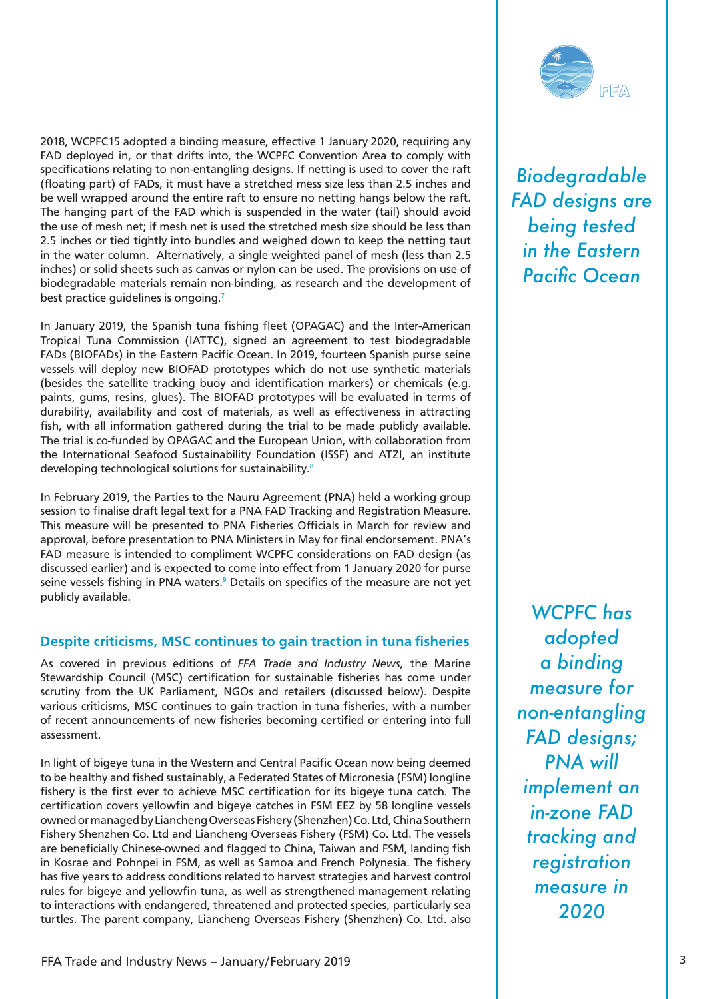<span id="page-2-0"></span>2018, WCPFC15 adopted a binding measure, effective 1 January 2020, requiring any FAD deployed in, or that drifts into, the WCPFC Convention Area to comply with specifications relating to non-entangling designs. If netting is used to cover the raft (floating part) of FADs, it must have a stretched mess size less than 2.5 inches and be well wrapped around the entire raft to ensure no netting hangs below the raft. The hanging part of the FAD which is suspended in the water (tail) should avoid the use of mesh net; if mesh net is used the stretched mesh size should be less than 2.5 inches or tied tightly into bundles and weighed down to keep the netting taut in the water column. Alternatively, a single weighted panel of mesh (less than 2.5 inches) or solid sheets such as canvas or nylon can be used. The provisions on use of biodegradable materials remain non-binding, as research and the development of best practice quidelines is ongoing.<sup>7</sup>

In January 2019, the Spanish tuna fishing fleet (OPAGAC) and the Inter-American Tropical Tuna Commission (IATTC), signed an agreement to test biodegradable FADs (BIOFADs) in the Eastern Pacific Ocean. In 2019, fourteen Spanish purse seine vessels will deploy new BIOFAD prototypes which do not use synthetic materials (besides the satellite tracking buoy and identification markers) or chemicals (e.g. paints, gums, resins, glues). The BIOFAD prototypes will be evaluated in terms of durability, availability and cost of materials, as well as effectiveness in attracting fish, with all information gathered during the trial to be made publicly available. The trial is co-funded by OPAGAC and the European Union, with collaboration from the International Seafood Sustainability Foundation (ISSF) and ATZI, an institute developing technological solutions for sustainability.<sup>[8](#page-12-0)</sup>

In February 2019, the Parties to the Nauru Agreement (PNA) held a working group session to finalise draft legal text for a PNA FAD Tracking and Registration Measure. This measure will be presented to PNA Fisheries Officials in March for review and approval, before presentation to PNA Ministers in May for final endorsement. PNA's FAD measure is intended to compliment WCPFC considerations on FAD design (as discussed earlier) and is expected to come into effect from 1 January 2020 for purse seine vessels fishing in PNA waters.<sup>[9](#page-12-0)</sup> Details on specifics of the measure are not yet publicly available.

#### **Despite criticisms, MSC continues to gain traction in tuna fisheries**

As covered in previous editions of *FFA Trade and Industry News,* the Marine Stewardship Council (MSC) certification for sustainable fisheries has come under scrutiny from the UK Parliament, NGOs and retailers (discussed below). Despite various criticisms, MSC continues to gain traction in tuna fisheries, with a number of recent announcements of new fisheries becoming certified or entering into full assessment.

In light of bigeye tuna in the Western and Central Pacific Ocean now being deemed to be healthy and fished sustainably, a Federated States of Micronesia (FSM) longline fishery is the first ever to achieve MSC certification for its bigeye tuna catch. The certification covers yellowfin and bigeye catches in FSM EEZ by 58 longline vessels owned or managed by Liancheng Overseas Fishery (Shenzhen) Co. Ltd, China Southern Fishery Shenzhen Co. Ltd and Liancheng Overseas Fishery (FSM) Co. Ltd. The vessels are beneficially Chinese-owned and flagged to China, Taiwan and FSM, landing fish in Kosrae and Pohnpei in FSM, as well as Samoa and French Polynesia. The fishery has five years to address conditions related to harvest strategies and harvest control rules for bigeye and yellowfin tuna, as well as strengthened management relating to interactions with endangered, threatened and protected species, particularly sea turtles. The parent company, Liancheng Overseas Fishery (Shenzhen) Co. Ltd. also



*Biodegradable FAD designs are being tested in the Eastern Pacific Ocean*

*WCPFC has adopted a binding measure for non-entangling FAD designs; PNA will implement an in-zone FAD tracking and registration measure in 2020*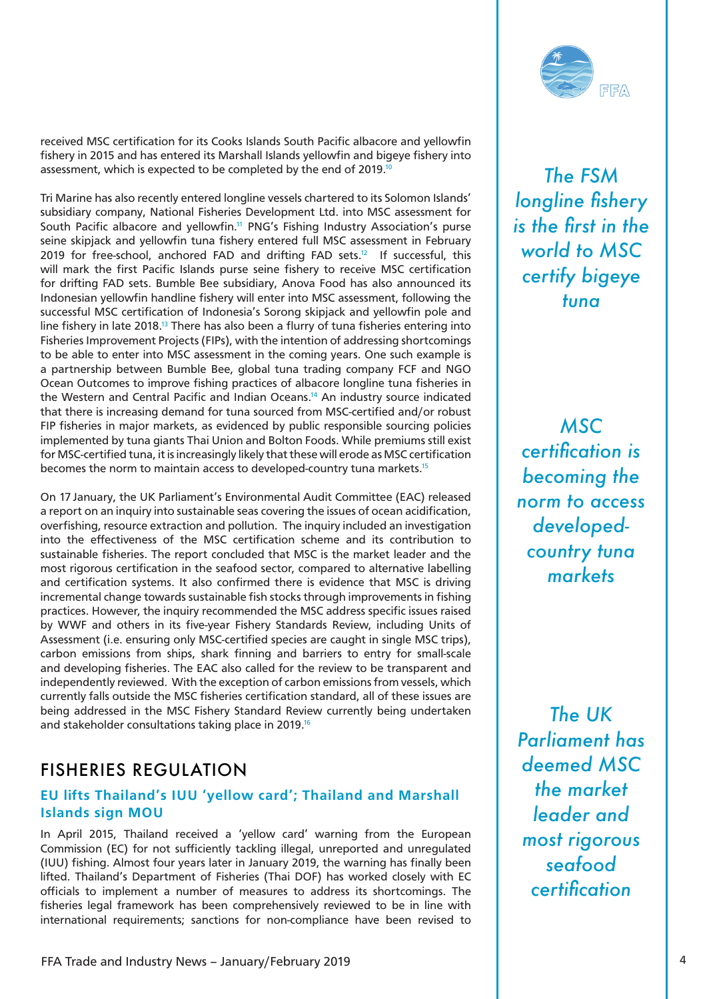

<span id="page-3-0"></span>received MSC certification for its Cooks Islands South Pacific albacore and yellowfin fishery in 2015 and has entered its Marshall Islands yellowfin and bigeye fishery into assessment, which is expected to be completed by the end of 2019.<sup>10</sup>

Tri Marine has also recently entered longline vessels chartered to its Solomon Islands' subsidiary company, National Fisheries Development Ltd. into MSC assessment for South Pacific albacore and yellowfin.<sup>11</sup> PNG's Fishing Industry Association's purse seine skipjack and yellowfin tuna fishery entered full MSC assessment in February 2019 for free-school, anchored FAD and drifting FAD sets.<sup>12</sup> If successful, this will mark the first Pacific Islands purse seine fishery to receive MSC certification for drifting FAD sets. Bumble Bee subsidiary, Anova Food has also announced its Indonesian yellowfin handline fishery will enter into MSC assessment, following the successful MSC certification of Indonesia's Sorong skipjack and yellowfin pole and line fishery in late 2018[.13](#page-12-0) There has also been a flurry of tuna fisheries entering into Fisheries Improvement Projects (FIPs), with the intention of addressing shortcomings to be able to enter into MSC assessment in the coming years. One such example is a partnership between Bumble Bee, global tuna trading company FCF and NGO Ocean Outcomes to improve fishing practices of albacore longline tuna fisheries in the Western and Central Pacific and Indian Oceans[.14](#page-12-0) An industry source indicated that there is increasing demand for tuna sourced from MSC-certified and/or robust FIP fisheries in major markets, as evidenced by public responsible sourcing policies implemented by tuna giants Thai Union and Bolton Foods. While premiums still exist for MSC-certified tuna, it is increasingly likely that these will erode as MSC certification becomes the norm to maintain access to developed-country tuna markets.<sup>15</sup>

On 17 January, the UK Parliament's Environmental Audit Committee (EAC) released a report on an inquiry into sustainable seas covering the issues of ocean acidification, overfishing, resource extraction and pollution. The inquiry included an investigation into the effectiveness of the MSC certification scheme and its contribution to sustainable fisheries. The report concluded that MSC is the market leader and the most rigorous certification in the seafood sector, compared to alternative labelling and certification systems. It also confirmed there is evidence that MSC is driving incremental change towards sustainable fish stocks through improvements in fishing practices. However, the inquiry recommended the MSC address specific issues raised by WWF and others in its five-year Fishery Standards Review, including Units of Assessment (i.e. ensuring only MSC-certified species are caught in single MSC trips), carbon emissions from ships, shark finning and barriers to entry for small-scale and developing fisheries. The EAC also called for the review to be transparent and independently reviewed. With the exception of carbon emissions from vessels, which currently falls outside the MSC fisheries certification standard, all of these issues are being addressed in the MSC Fishery Standard Review currently being undertaken and stakeholder consultations taking place in 2019[.16](#page-12-0)

## FISHERIES REGULATION

#### **EU lifts Thailand's IUU 'yellow card'; Thailand and Marshall Islands sign MOU**

In April 2015, Thailand received a 'yellow card' warning from the European Commission (EC) for not sufficiently tackling illegal, unreported and unregulated (IUU) fishing. Almost four years later in January 2019, the warning has finally been lifted. Thailand's Department of Fisheries (Thai DOF) has worked closely with EC officials to implement a number of measures to address its shortcomings. The fisheries legal framework has been comprehensively reviewed to be in line with international requirements; sanctions for non-compliance have been revised to

*The FSM longline fishery is the first in the world to MSC certify bigeye tuna*

*MSC certification is becoming the norm to access developedcountry tuna markets*

*The UK Parliament has deemed MSC the market leader and most rigorous seafood certification*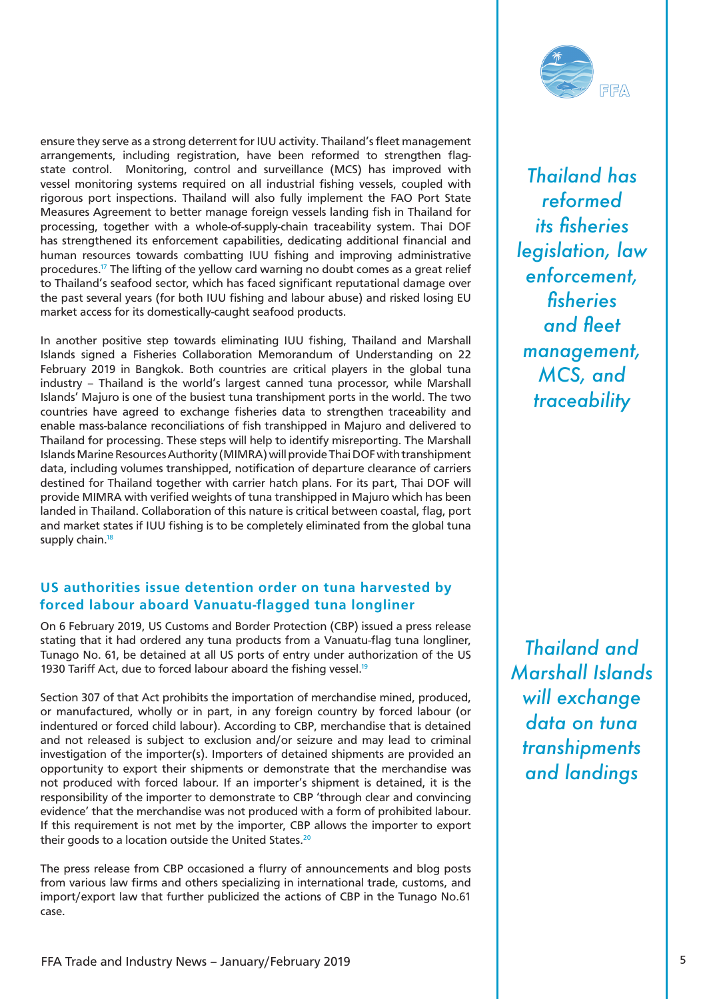<span id="page-4-0"></span>ensure they serve as a strong deterrent for IUU activity. Thailand's fleet management arrangements, including registration, have been reformed to strengthen flagstate control. Monitoring, control and surveillance (MCS) has improved with vessel monitoring systems required on all industrial fishing vessels, coupled with rigorous port inspections. Thailand will also fully implement the FAO Port State Measures Agreement to better manage foreign vessels landing fish in Thailand for processing, together with a whole-of-supply-chain traceability system. Thai DOF has strengthened its enforcement capabilities, dedicating additional financial and human resources towards combatting IUU fishing and improving administrative procedures[.17](#page-13-0) The lifting of the yellow card warning no doubt comes as a great relief to Thailand's seafood sector, which has faced significant reputational damage over the past several years (for both IUU fishing and labour abuse) and risked losing EU market access for its domestically-caught seafood products.

In another positive step towards eliminating IUU fishing, Thailand and Marshall Islands signed a Fisheries Collaboration Memorandum of Understanding on 22 February 2019 in Bangkok. Both countries are critical players in the global tuna industry – Thailand is the world's largest canned tuna processor, while Marshall Islands' Majuro is one of the busiest tuna transhipment ports in the world. The two countries have agreed to exchange fisheries data to strengthen traceability and enable mass-balance reconciliations of fish transhipped in Majuro and delivered to Thailand for processing. These steps will help to identify misreporting. The Marshall Islands Marine Resources Authority (MIMRA) will provide Thai DOF with transhipment data, including volumes transhipped, notification of departure clearance of carriers destined for Thailand together with carrier hatch plans. For its part, Thai DOF will provide MIMRA with verified weights of tuna transhipped in Majuro which has been landed in Thailand. Collaboration of this nature is critical between coastal, flag, port and market states if IUU fishing is to be completely eliminated from the global tuna supply chain.<sup>18</sup>

#### **US authorities issue detention order on tuna harvested by forced labour aboard Vanuatu-flagged tuna longliner**

On 6 February 2019, US Customs and Border Protection (CBP) issued a press release stating that it had ordered any tuna products from a Vanuatu-flag tuna longliner, Tunago No. 61, be detained at all US ports of entry under authorization of the US 1930 Tariff Act, due to forced labour aboard the fishing vessel.<sup>19</sup>

Section 307 of that Act prohibits the importation of merchandise mined, produced, or manufactured, wholly or in part, in any foreign country by forced labour (or indentured or forced child labour). According to CBP, merchandise that is detained and not released is subject to exclusion and/or seizure and may lead to criminal investigation of the importer(s). Importers of detained shipments are provided an opportunity to export their shipments or demonstrate that the merchandise was not produced with forced labour. If an importer's shipment is detained, it is the responsibility of the importer to demonstrate to CBP 'through clear and convincing evidence' that the merchandise was not produced with a form of prohibited labour. If this requirement is not met by the importer, CBP allows the importer to export their goods to a location outside the United States.<sup>20</sup>

The press release from CBP occasioned a flurry of announcements and blog posts from various law firms and others specializing in international trade, customs, and import/export law that further publicized the actions of CBP in the Tunago No.61 case.



*Thailand has reformed its fisheries legislation, law enforcement, fisheries and fleet management, MCS, and traceability*

*Thailand and Marshall Islands will exchange data on tuna transhipments and landings*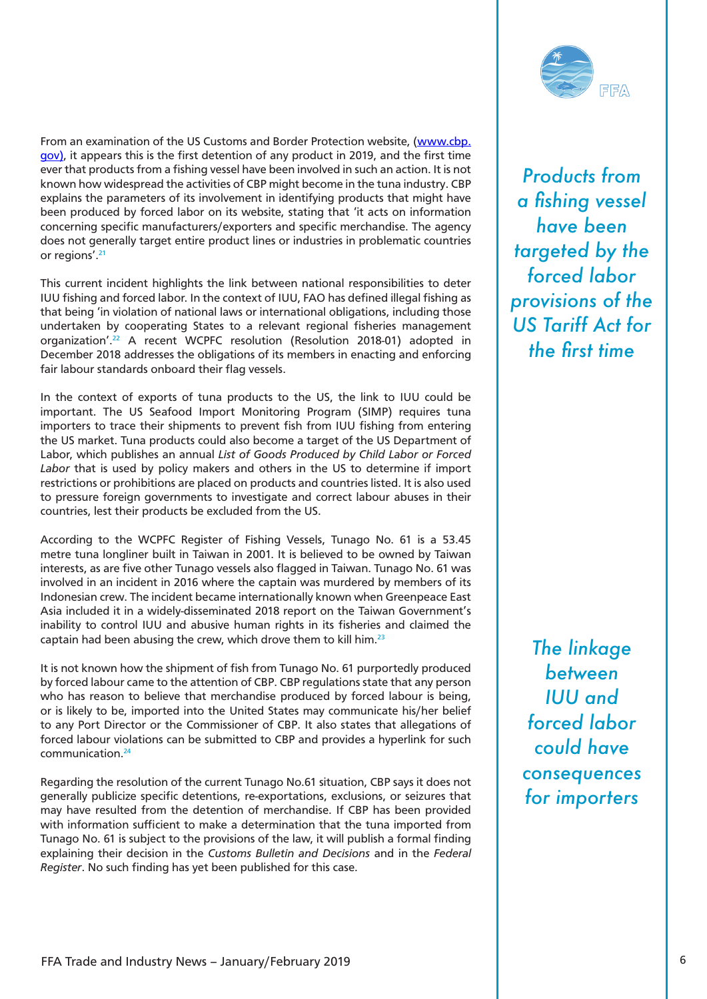<span id="page-5-0"></span>From an examination of the US Customs and Border Protection website, ([www.cbp.](http://www.cbp.gov) [gov](http://www.cbp.gov)), it appears this is the first detention of any product in 2019, and the first time ever that products from a fishing vessel have been involved in such an action. It is not known how widespread the activities of CBP might become in the tuna industry. CBP explains the parameters of its involvement in identifying products that might have been produced by forced labor on its website, stating that 'it acts on information concerning specific manufacturers/exporters and specific merchandise. The agency does not generally target entire product lines or industries in problematic countries or regions'[.21](#page-13-0)

This current incident highlights the link between national responsibilities to deter IUU fishing and forced labor. In the context of IUU, FAO has defined illegal fishing as that being 'in violation of national laws or international obligations, including those undertaken by cooperating States to a relevant regional fisheries management organization'.[22](#page-13-0) A recent WCPFC resolution (Resolution 2018-01) adopted in December 2018 addresses the obligations of its members in enacting and enforcing fair labour standards onboard their flag vessels.

In the context of exports of tuna products to the US, the link to IUU could be important. The US Seafood Import Monitoring Program (SIMP) requires tuna importers to trace their shipments to prevent fish from IUU fishing from entering the US market. Tuna products could also become a target of the US Department of Labor, which publishes an annual *List of Goods Produced by Child Labor or Forced Labor* that is used by policy makers and others in the US to determine if import restrictions or prohibitions are placed on products and countries listed. It is also used to pressure foreign governments to investigate and correct labour abuses in their countries, lest their products be excluded from the US.

According to the WCPFC Register of Fishing Vessels, Tunago No. 61 is a 53.45 metre tuna longliner built in Taiwan in 2001. It is believed to be owned by Taiwan interests, as are five other Tunago vessels also flagged in Taiwan. Tunago No. 61 was involved in an incident in 2016 where the captain was murdered by members of its Indonesian crew. The incident became internationally known when Greenpeace East Asia included it in a widely-disseminated 2018 report on the Taiwan Government's inability to control IUU and abusive human rights in its fisheries and claimed the captain had been abusing the crew, which drove them to kill him.[23](#page-13-0)

It is not known how the shipment of fish from Tunago No. 61 purportedly produced by forced labour came to the attention of CBP. CBP regulations state that any person who has reason to believe that merchandise produced by forced labour is being, or is likely to be, imported into the United States may communicate his/her belief to any Port Director or the Commissioner of CBP. It also states that allegations of forced labour violations can be submitted to CBP and provides a hyperlink for such communication[.24](#page-13-0)

Regarding the resolution of the current Tunago No.61 situation, CBP says it does not generally publicize specific detentions, re-exportations, exclusions, or seizures that may have resulted from the detention of merchandise. If CBP has been provided with information sufficient to make a determination that the tuna imported from Tunago No. 61 is subject to the provisions of the law, it will publish a formal finding explaining their decision in the *Customs Bulletin and Decisions* and in the *Federal Register*. No such finding has yet been published for this case.



*Products from a fishing vessel have been targeted by the forced labor provisions of the US Tariff Act for the first time* 

*The linkage between IUU and forced labor could have consequences for importers*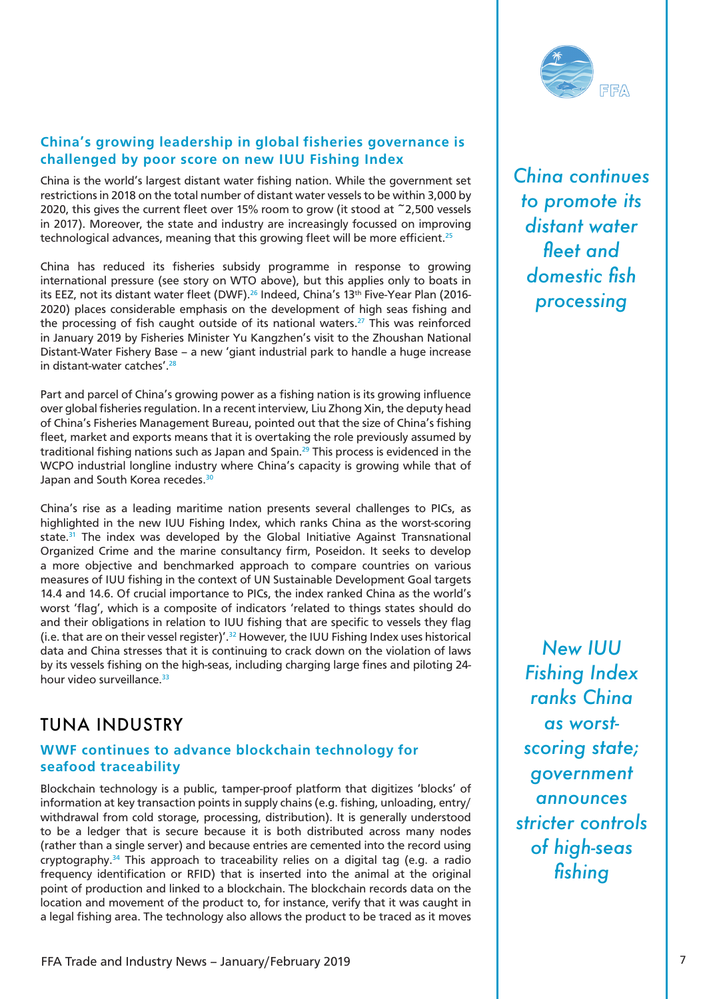#### <span id="page-6-0"></span>**China's growing leadership in global fisheries governance is challenged by poor score on new IUU Fishing Index**

China is the world's largest distant water fishing nation. While the government set restrictions in 2018 on the total number of distant water vessels to be within 3,000 by 2020, this gives the current fleet over 15% room to grow (it stood at ~2,500 vessels in 2017). Moreover, the state and industry are increasingly focussed on improving technological advances, meaning that this growing fleet will be more efficient.<sup>25</sup>

China has reduced its fisheries subsidy programme in response to growing international pressure (see story on WTO above), but this applies only to boats in its EEZ, not its distant water fleet (DWF).<sup>[26](#page-13-0)</sup> Indeed, China's 13<sup>th</sup> Five-Year Plan (2016-2020) places considerable emphasis on the development of high seas fishing and the processing of fish caught outside of its national waters.<sup>27</sup> This was reinforced in January 2019 by Fisheries Minister Yu Kangzhen's visit to the Zhoushan National Distant-Water Fishery Base – a new 'giant industrial park to handle a huge increase in distant-water catches'.<sup>28</sup>

Part and parcel of China's growing power as a fishing nation is its growing influence over global fisheries regulation. In a recent interview, Liu Zhong Xin, the deputy head of China's Fisheries Management Bureau, pointed out that the size of China's fishing fleet, market and exports means that it is overtaking the role previously assumed by traditional fishing nations such as Japan and Spain.<sup>29</sup> This process is evidenced in the WCPO industrial longline industry where China's capacity is growing while that of Japan and South Korea recedes.<sup>30</sup>

China's rise as a leading maritime nation presents several challenges to PICs, as highlighted in the new IUU Fishing Index, which ranks China as the worst-scoring state. $31$  The index was developed by the Global Initiative Against Transnational Organized Crime and the marine consultancy firm, Poseidon. It seeks to develop a more objective and benchmarked approach to compare countries on various measures of IUU fishing in the context of UN Sustainable Development Goal targets 14.4 and 14.6. Of crucial importance to PICs, the index ranked China as the world's worst 'flag', which is a composite of indicators 'related to things states should do and their obligations in relation to IUU fishing that are specific to vessels they flag (i.e. that are on their vessel register)'.<sup>[32](#page-13-0)</sup> However, the IUU Fishing Index uses historical data and China stresses that it is continuing to crack down on the violation of laws by its vessels fishing on the high-seas, including charging large fines and piloting 24 hour video surveillance.<sup>33</sup>

## TUNA INDUSTRY

#### **WWF continues to advance blockchain technology for seafood traceability**

Blockchain technology is a public, tamper-proof platform that digitizes 'blocks' of information at key transaction points in supply chains (e.g. fishing, unloading, entry/ withdrawal from cold storage, processing, distribution). It is generally understood to be a ledger that is secure because it is both distributed across many nodes (rather than a single server) and because entries are cemented into the record using cryptography.[34](#page-13-0) This approach to traceability relies on a digital tag (e.g. a radio frequency identification or RFID) that is inserted into the animal at the original point of production and linked to a blockchain. The blockchain records data on the location and movement of the product to, for instance, verify that it was caught in a legal fishing area. The technology also allows the product to be traced as it moves



*China continues to promote its distant water fleet and domestic fish processing*

*New IUU Fishing Index ranks China as worstscoring state; government announces stricter controls of high-seas fishing*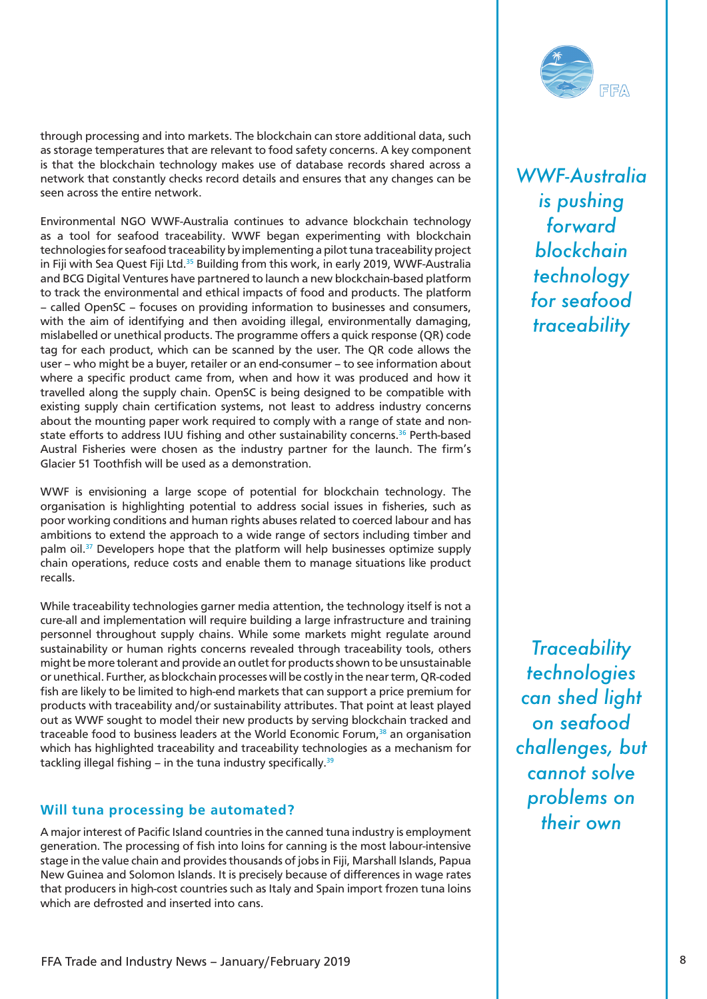<span id="page-7-0"></span>through processing and into markets. The blockchain can store additional data, such as storage temperatures that are relevant to food safety concerns. A key component is that the blockchain technology makes use of database records shared across a network that constantly checks record details and ensures that any changes can be seen across the entire network.

Environmental NGO WWF-Australia continues to advance blockchain technology as a tool for seafood traceability. WWF began experimenting with blockchain technologies for seafood traceability by implementing a pilot tuna traceability project in Fiji with Sea Quest Fiji Ltd.<sup>[35](#page-13-0)</sup> Building from this work, in early 2019, WWF-Australia and BCG Digital Ventures have partnered to launch a new blockchain-based platform to track the environmental and ethical impacts of food and products. The platform – called OpenSC – focuses on providing information to businesses and consumers, with the aim of identifying and then avoiding illegal, environmentally damaging, mislabelled or unethical products. The programme offers a quick response (QR) code tag for each product, which can be scanned by the user. The QR code allows the user – who might be a buyer, retailer or an end-consumer – to see information about where a specific product came from, when and how it was produced and how it travelled along the supply chain. OpenSC is being designed to be compatible with existing supply chain certification systems, not least to address industry concerns about the mounting paper work required to comply with a range of state and non-state efforts to address IUU fishing and other sustainability concerns.<sup>[36](#page-14-0)</sup> Perth-based Austral Fisheries were chosen as the industry partner for the launch. The firm's Glacier 51 Toothfish will be used as a demonstration.

WWF is envisioning a large scope of potential for blockchain technology. The organisation is highlighting potential to address social issues in fisheries, such as poor working conditions and human rights abuses related to coerced labour and has ambitions to extend the approach to a wide range of sectors including timber and palm oil[.37](#page-14-0) Developers hope that the platform will help businesses optimize supply chain operations, reduce costs and enable them to manage situations like product recalls.

While traceability technologies garner media attention, the technology itself is not a cure-all and implementation will require building a large infrastructure and training personnel throughout supply chains. While some markets might regulate around sustainability or human rights concerns revealed through traceability tools, others might be more tolerant and provide an outlet for products shown to be unsustainable or unethical. Further, as blockchain processes will be costly in the near term, QR-coded fish are likely to be limited to high-end markets that can support a price premium for products with traceability and/or sustainability attributes. That point at least played out as WWF sought to model their new products by serving blockchain tracked and traceable food to business leaders at the World Economic Forum, $38$  an organisation which has highlighted traceability and traceability technologies as a mechanism for tackling illegal fishing – in the tuna industry specifically.<sup>39</sup>

#### **Will tuna processing be automated?**

A major interest of Pacific Island countries in the canned tuna industry is employment generation. The processing of fish into loins for canning is the most labour-intensive stage in the value chain and provides thousands of jobs in Fiji, Marshall Islands, Papua New Guinea and Solomon Islands. It is precisely because of differences in wage rates that producers in high-cost countries such as Italy and Spain import frozen tuna loins which are defrosted and inserted into cans.



*WWF-Australia is pushing forward blockchain technology for seafood traceability*

*Traceability technologies can shed light on seafood challenges, but cannot solve problems on their own*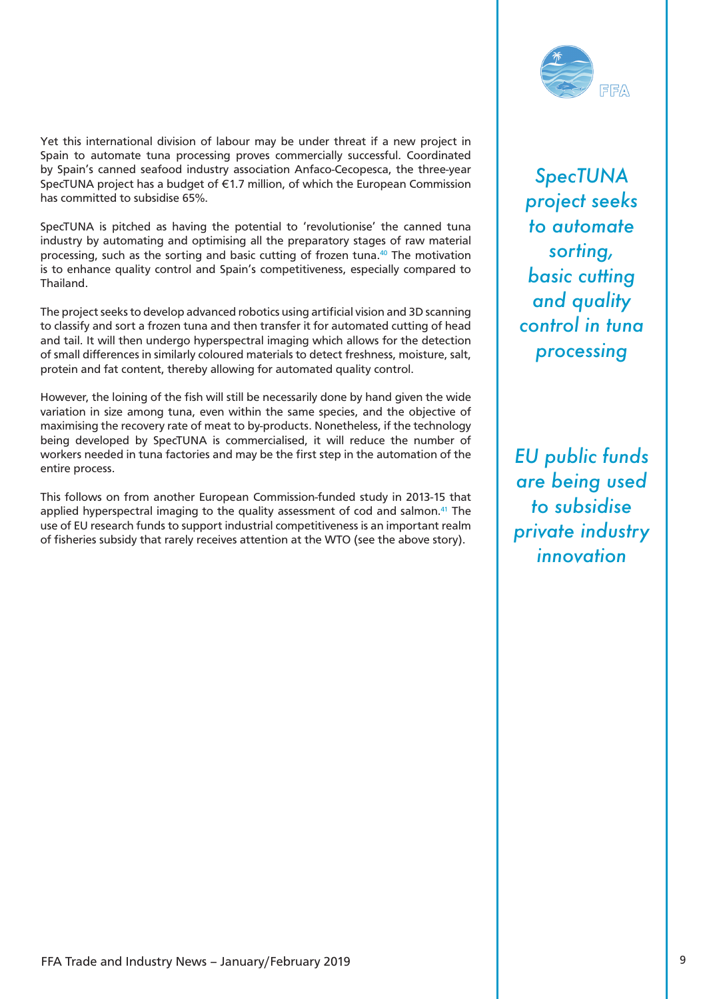<span id="page-8-0"></span>Yet this international division of labour may be under threat if a new project in Spain to automate tuna processing proves commercially successful. Coordinated by Spain's canned seafood industry association Anfaco-Cecopesca, the three-year SpecTUNA project has a budget of €1.7 million, of which the European Commission has committed to subsidise 65%.

SpecTUNA is pitched as having the potential to 'revolutionise' the canned tuna industry by automating and optimising all the preparatory stages of raw material processing, such as the sorting and basic cutting of frozen tuna[.40](#page-14-0) The motivation is to enhance quality control and Spain's competitiveness, especially compared to Thailand.

The project seeks to develop advanced robotics using artificial vision and 3D scanning to classify and sort a frozen tuna and then transfer it for automated cutting of head and tail. It will then undergo hyperspectral imaging which allows for the detection of small differences in similarly coloured materials to detect freshness, moisture, salt, protein and fat content, thereby allowing for automated quality control.

However, the loining of the fish will still be necessarily done by hand given the wide variation in size among tuna, even within the same species, and the objective of maximising the recovery rate of meat to by-products. Nonetheless, if the technology being developed by SpecTUNA is commercialised, it will reduce the number of workers needed in tuna factories and may be the first step in the automation of the entire process.

This follows on from another European Commission-funded study in 2013-15 that applied hyperspectral imaging to the quality assessment of cod and salmon.<sup>41</sup> The use of EU research funds to support industrial competitiveness is an important realm of fisheries subsidy that rarely receives attention at the WTO (see the above story).



*SpecTUNA project seeks to automate sorting, basic cutting and quality control in tuna processing* 

*EU public funds are being used to subsidise private industry innovation*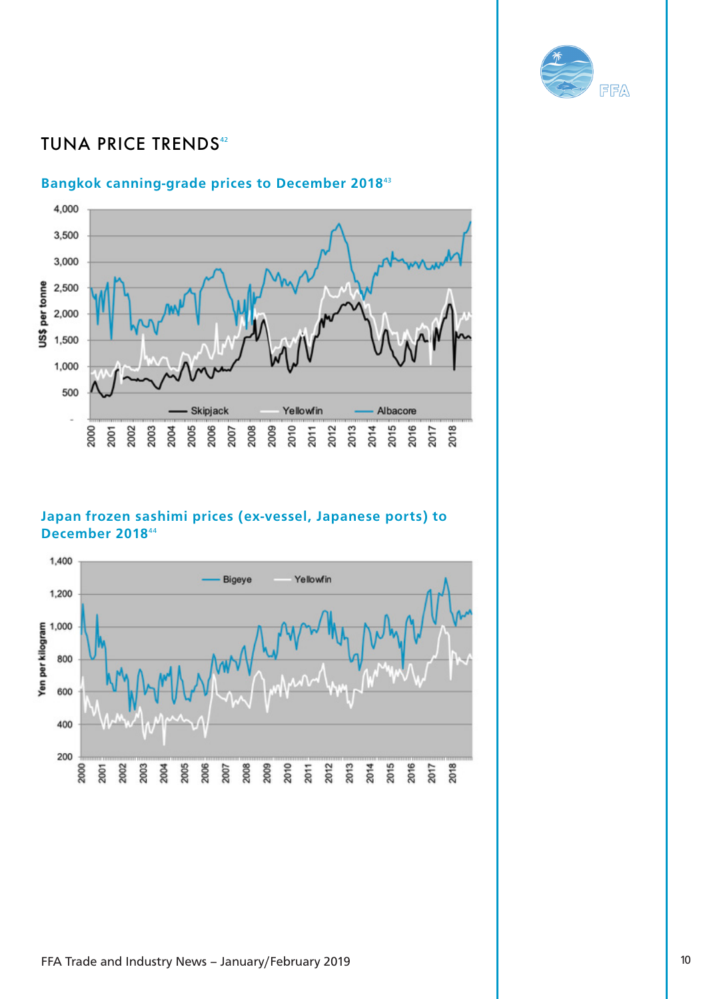

# <span id="page-9-0"></span>**TUNA PRICE TRENDS[42](#page-14-0)**

#### **Bangkok canning-grade prices to December 2018**[43](#page-14-0)



### **Japan frozen sashimi prices (ex-vessel, Japanese ports) to December 2018**[44](#page-14-0)

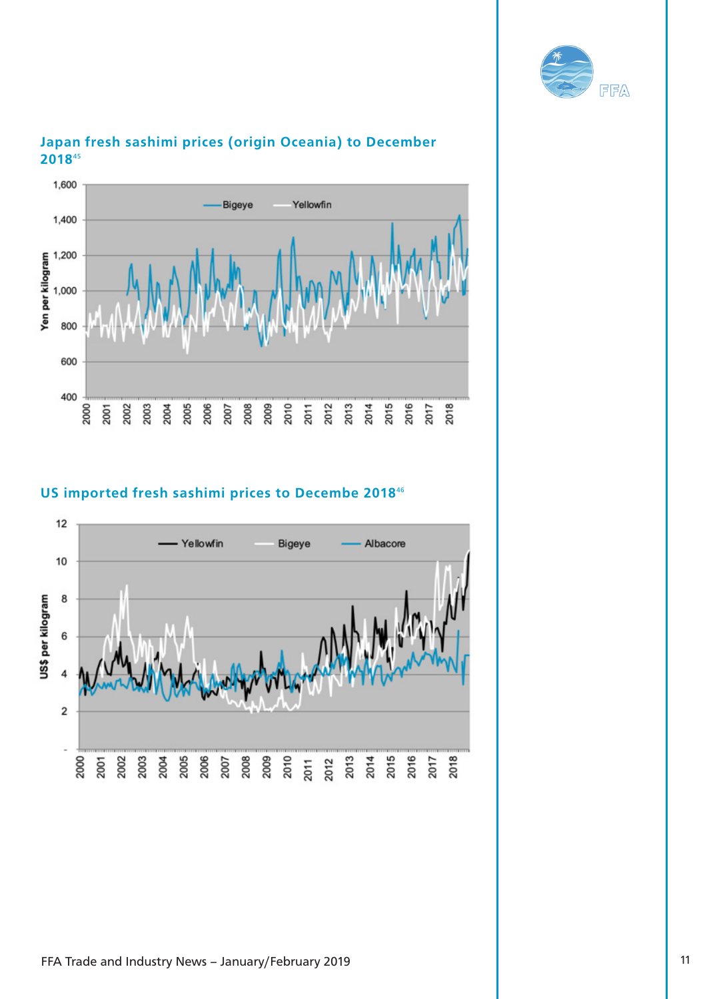



## <span id="page-10-0"></span>**Japan fresh sashimi prices (origin Oceania) to December 2018**[45](#page-14-0)

## **US imported fresh sashimi prices to Decembe 2018**[46](#page-14-0)

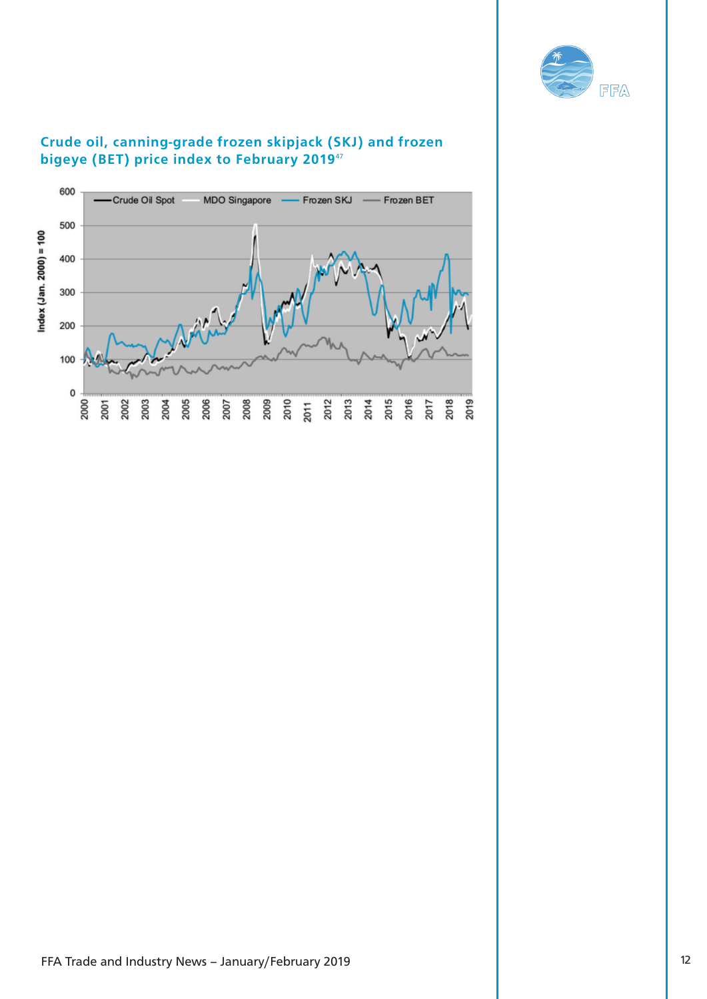

## <span id="page-11-0"></span>**Crude oil, canning-grade frozen skipjack (SKJ) and frozen bigeye (BET) price index to February 2019**[47](#page-14-0)

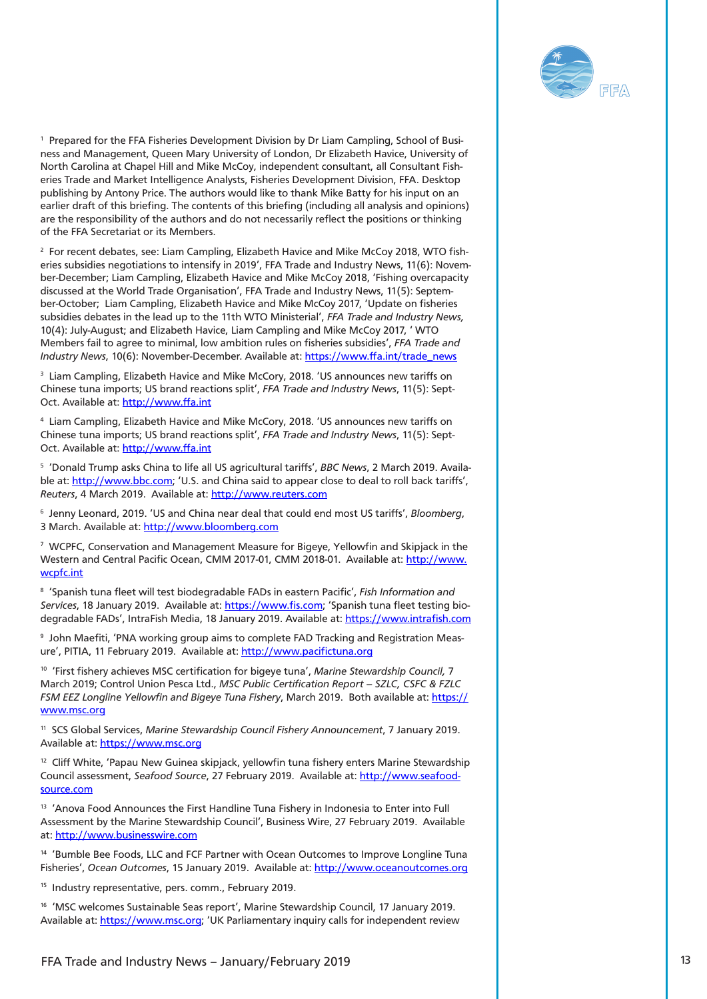

<span id="page-12-0"></span>[1](#page-0-0) Prepared for the FFA Fisheries Development Division by Dr Liam Campling, School of Busi[ness a](#page-0-0)nd Management, Queen Mary University of London, Dr Elizabeth Havice, University of North Carolina at Chapel Hill and Mike McCoy, independent consultant, all Consultant Fisheries Trade and Market Intelligence Analysts, Fisheries Development Division, FFA. Desktop publishing by Antony Price. The authors would like to thank Mike Batty for his input on an earlier draft of this briefing. The contents of this briefing (including all analysis and opinions) are the responsibility of the authors and do not necessarily reflect the positions or thinking of the FFA Secretariat or its Members.

 $^{\rm 2}$  $^{\rm 2}$  $^{\rm 2}$  For recent debates, see: Liam Campling, Elizabeth Havice and Mike McCoy 2018, WTO fisheries subsidies negotiations to intensify in 2019', FFA Trade and Industry News, 11(6): November-December; Liam Campling, Elizabeth Havice and Mike McCoy 2018, 'Fishing overcapacity discussed at the World Trade Organisation', FFA Trade and Industry News, 11(5): September-October; Liam Campling, Elizabeth Havice and Mike McCoy 2017, 'Update on fisheries subsidies debates in the lead up to the 11th WTO Ministerial', *FFA Trade and Industry News,*  10(4): July-August; and Elizabeth Havice, Liam Campling and Mike McCoy 2017, ' WTO Members fail to agree to minimal, low ambition rules on fisheries subsidies', *FFA Trade and Industry News*, 10(6): November-December. Available at: [https://www.ffa.int/trade\\_news](https://www.ffa.int/trade_news)

<sup>[3](#page-1-0)</sup> Liam Campling, Elizabeth Havice and Mike McCory, 2018. 'US announces new tariffs on [Chine](#page-1-0)se tuna imports; US brand reactions split', *FFA Trade and Industry News*, 11(5): Sept-Oct. Available at:<http://www.ffa.int>

[4](#page-1-0) Liam Campling, Elizabeth Havice and Mike McCory, 2018. 'US announces new tariffs on Chinese tuna imports; US brand reactions split', *FFA Trade and Industry News*, 11(5): SeptOct. Available at:<http://www.ffa.int>

 $^{\circ}$  'Donald Trump asks China to life all US agricultural tariffs', *BBC News*, 2 March 2019. Available at: <http://www.bbc.com>; 'U.S. and China said to appear close to deal to roll back tariffs', *Reuters*, 4 March 2019. Available at: <http://www.reuters.com>

6 Jenny Leonard, 2019. 'US and China near deal that could end most US tariffs', *Bloomberg*, 3 March. Available at:<http://www.bloomberg.com>

7 WCPFC, Conservation and Management Measure for Bigeye, Yellowfin and Skipjack in the [West](#page-2-0)ern and Central Pacific Ocean, CMM 2017-01, CMM 2018-01. Available at: [http://www.](http://www.wcpfc.int) [wcpfc.int](http://www.wcpfc.int)

[8](#page-2-0) 'Spanish tuna fleet will test biodegradable FADs in eastern Pacific', *Fish Information and [Servic](#page-2-0)es*, 18 January 2019. Available at: [https://www.fis.com;](https://www.fis.com) 'Spanish tuna fleet testing biodegradable FADs', IntraFish Media, 18 January 2019. Available at: <https://www.intrafish.com>

 $^{\circ}$  John Maefiti, 'PNA working group aims to complete FAD Tracking and Registration Measure', PITIA, 11 February 2019. Available at:<http://www.pacifictuna.org>

[10 'Fir](#page-3-0)st fishery achieves MSC certification for bigeye tuna', *Marine Stewardship Council,* 7 March 2019; Control Union Pesca Ltd., *MSC Public Certification Report – SZLC, CSFC & FZLC FSM EEZ Longline Yellowfin and Bigeye Tuna Fishery*, March 2019. Both available at: [https://](https://www.msc.org) [www.msc.org](https://www.msc.org)

[11](#page-3-0) SCS Global Services, *Marine Stewardship Council Fishery Announcement*, 7 January 2019. Available at:<https://www.msc.org>

<sup>12</sup> Cliff White, 'Papau New Guinea skipjack, yellowfin tuna fishery enters Marine Stewardship Council assessment, *Seafood Source*, 27 February 2019. Available at: [http://www.seafood](http://www.seafoodsource.com)[source.com](http://www.seafoodsource.com)

<sup>13</sup> 'Anova Food Announces the First Handline Tuna Fishery in Indonesia to Enter into Full Assessment by the Marine Stewardship Council', Business Wire, 27 February 2019. Available at: <http://www.businesswire.com>

<sup>14</sup> 'Bumble Bee Foods, LLC and FCF Partner with Ocean Outcomes to Improve Longline Tuna Fisheries', *Ocean Outcomes*, 15 January 2019. Available at: <http://www.oceanoutcomes.org>

<sup>15</sup> Industry representative, pers. comm., February 2019.

16 'MSC welcomes Sustainable Seas report', Marine Stewardship Council, 17 January 2019. Available at: [https://www.msc.org;](https://www.msc.org) 'UK Parliamentary inquiry calls for independent review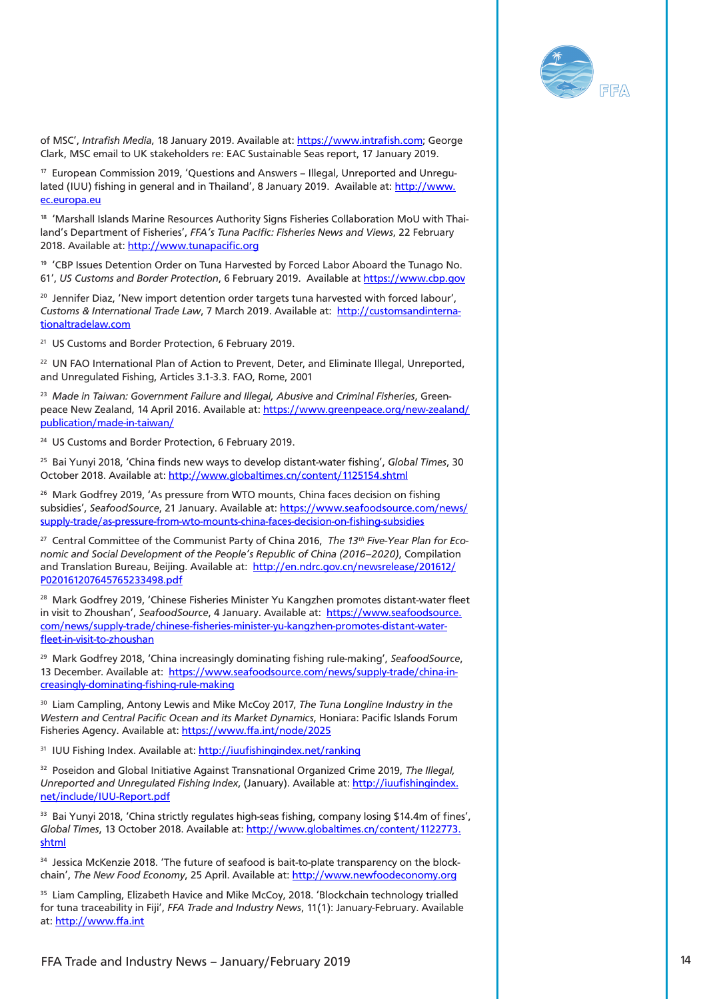

<span id="page-13-0"></span>of MSC', *Intrafish Media*, 18 January 2019. Available at:<https://www.intrafish.com>; George Clark, MSC email to UK stakeholders re: EAC Sustainable Seas report, 17 January 2019.

[17 E](#page-4-0)uropean Commission 2019, 'Questions and Answers – Illegal, Unreported and Unregulated (IUU) fishing in general and in Thailand', 8 January 2019. Available at: [http://www.](http://www.ec.europa.eu) [ec.europa.eu](http://www.ec.europa.eu)

<sup>18</sup> 'Marshall Islands Marine Resources Authority Signs Fisheries Collaboration MoU with Thailand's Department of Fisheries', *FFA's Tuna Pacific: Fisheries News and Views*, 22 February 2018. Available at: <http://www.tunapacific.org>

<sup>[19](#page-4-0)</sup> 'CBP Issues Detention Order on Tuna Harvested by Forced Labor Aboard the Tunago No. 61', *US Customs and Border Protection*, 6 February 2019. Available at [https://www.cbp.gov](https://www.cbp.gov/newsroom/national-media-release/cbp-issues-detention-order-tuna-harvested-forced-labor-aboard-tunago)

<sup>20</sup> Jennifer Diaz, 'New import detention order targets tuna harvested with forced labour', *Customs & International Trade Law*, 7 March 2019. Available at: [http://customsandinterna](http://customsandinternationaltradelaw.com/2019/03/07/new-import-detention-order-targets-tuna-harvested-forced-labor/)[tionaltradelaw.com](http://customsandinternationaltradelaw.com/2019/03/07/new-import-detention-order-targets-tuna-harvested-forced-labor/)

<sup>21</sup> US Customs and Border Protection, 6 February 2019.

<sup>22</sup> UN FAO International Plan of Action to Prevent, Deter, and Eliminate Illegal, Unreported, and Unregulated Fishing, Articles 3.1-3.3. FAO, Rome, 2001

[23](#page-5-0) *Made in Taiwan: Government Failure and Illegal, Abusive and Criminal Fisheries*, Greenpeace New Zealand, 14 April 2016. Available at: [https://www.greenpeace.org/new-zealand/](https://www.greenpeace.org/new-zealand/publication/made-in-taiwan/) [publication/made-in-taiwan/](https://www.greenpeace.org/new-zealand/publication/made-in-taiwan/)

<sup>24</sup> US Customs and Border Protection, 6 February 2019.

[25](#page-6-0) Bai Yunyi 2018, 'China finds new ways to develop distant-water fishing', *Global Times*, 30 October 2018. Available at:<http://www.globaltimes.cn/content/1125154.shtml>

<sup>26</sup> Mark Godfrey 2019, 'As pressure from WTO mounts, China faces decision on fishing subsidies', *SeafoodSource*, 21 January. Available at: [https://www.seafoodsource.com/news/](https://www.seafoodsource.com/news/supply-trade/as-pressure-from-wto-mounts-china-faces-decision-on-fishing-subsidies) [supply-trade/as-pressure-from-wto-mounts-china-faces-decision-on-fishing-subsidies](https://www.seafoodsource.com/news/supply-trade/as-pressure-from-wto-mounts-china-faces-decision-on-fishing-subsidies)

<sup>27</sup> Central Committee of the Communist Party of China 2016, *The 13<sup>th</sup> Five-Year Plan for Eco[nom](#page-6-0)ic and Social Development of the People's Republic of China (2016–2020)*, Compilation and Translation Bureau, Beijing. Available at: [http://en.ndrc.gov.cn/newsrelease/201612/](http://en.ndrc.gov.cn/newsrelease/201612/P020161207645765233498.pdf) [P020161207645765233498.pdf](http://en.ndrc.gov.cn/newsrelease/201612/P020161207645765233498.pdf)

[28](#page-6-0) Mark Godfrey 2019, 'Chinese Fisheries Minister Yu Kangzhen promotes distant-water fleet in visit to Zhoushan', *SeafoodSource*, 4 January. Available at: [https://www.seafoodsource.](https://www.seafoodsource.com/news/supply-trade/chinese-fisheries-minister-yu-kangzhen-promotes-distant-water-fleet-in-visit-to-zhoushan) [com/news/supply-trade/chinese-fisheries-minister-yu-kangzhen-promotes-distant-water](https://www.seafoodsource.com/news/supply-trade/chinese-fisheries-minister-yu-kangzhen-promotes-distant-water-fleet-in-visit-to-zhoushan)[fleet-in-visit-to-zhoushan](https://www.seafoodsource.com/news/supply-trade/chinese-fisheries-minister-yu-kangzhen-promotes-distant-water-fleet-in-visit-to-zhoushan)

[29 M](#page-6-0)ark Godfrey 2018, 'China increasingly dominating fishing rule-making', *SeafoodSource*, 13 December. Available at: [https://www.seafoodsource.com/news/supply-trade/china-in](https://www.seafoodsource.com/news/supply-trade/china-increasingly-dominating-fishing-rule-making)[creasingly-dominating-fishing-rule-making](https://www.seafoodsource.com/news/supply-trade/china-increasingly-dominating-fishing-rule-making)

[30 L](#page-6-0)iam Campling, Antony Lewis and Mike McCoy 2017, *The Tuna Longline Industry in the Western and Central Pacific Ocean and its Market Dynamics*, Honiara: Pacific Islands Forum Fisheries Agency. Available at:<https://www.ffa.int/node/2025>

<sup>[31](#page-6-0)</sup> IUU Fishing Index. Available at: http://juufishingindex.net/ranking

[32](#page-6-0) Poseidon and Global Initiative Against Transnational Organized Crime 2019, *The Illegal, Unreported and Unregulated Fishing Index*, (January). Available at: [http://iuufishingindex.](http://iuufishingindex.net/include/IUU-Report.pdf) [net/include/IUU-Report.pdf](http://iuufishingindex.net/include/IUU-Report.pdf)

<sup>33</sup> Bai Yunyi 2018, 'China strictly regulates high-seas fishing, company losing \$14.4m of fines', *Global Times*, 13 October 2018. Available at: [http://www.globaltimes.cn/content/1122773.](http://www.globaltimes.cn/content/1122773.shtml) [shtml](http://www.globaltimes.cn/content/1122773.shtml)

<sup>34</sup> Jessica McKenzie 2018. 'The future of seafood is bait-to-plate transparency on the blockchain', *The New Food Economy*, 25 April. Available at:<http://www.newfoodeconomy.org>

<sup>35</sup> Liam Campling, Elizabeth Havice and Mike McCoy, 2018. 'Blockchain technology trialled for tuna traceability in Fiji', *FFA Trade and Industry News*, 11(1): January-February. Available at: <http://www.ffa.int>